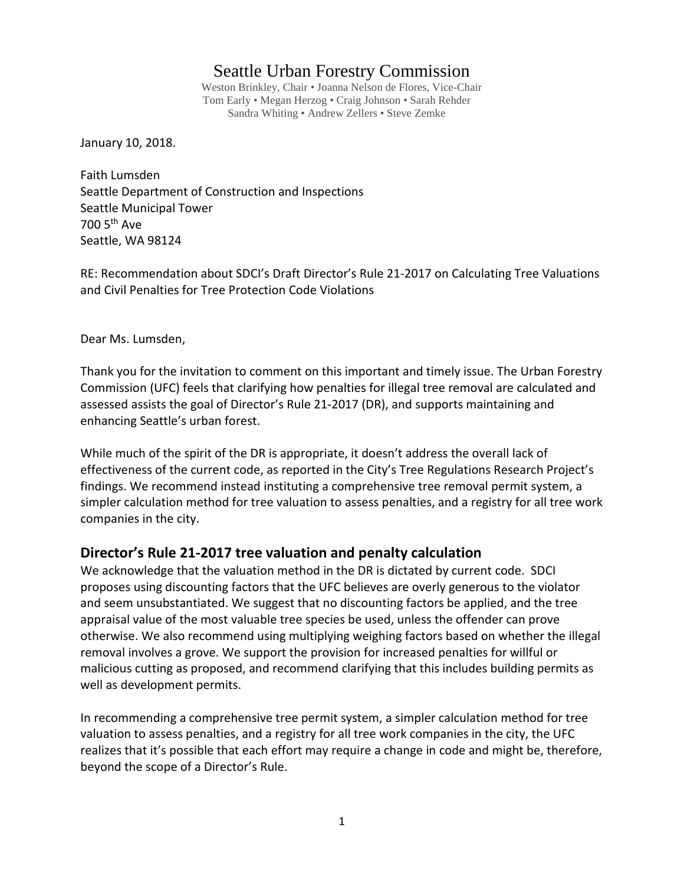# Seattle Urban Forestry Commission

Weston Brinkley, Chair • Joanna Nelson de Flores, Vice-Chair Tom Early • Megan Herzog • Craig Johnson • Sarah Rehder Sandra Whiting • Andrew Zellers • Steve Zemke

January 10, 2018.

Faith Lumsden Seattle Department of Construction and Inspections Seattle Municipal Tower 700 5th Ave Seattle, WA 98124

RE: Recommendation about SDCI's Draft Director's Rule 21-2017 on Calculating Tree Valuations and Civil Penalties for Tree Protection Code Violations

Dear Ms. Lumsden,

Thank you for the invitation to comment on this important and timely issue. The Urban Forestry Commission (UFC) feels that clarifying how penalties for illegal tree removal are calculated and assessed assists the goal of Director's Rule 21-2017 (DR), and supports maintaining and enhancing Seattle's urban forest.

While much of the spirit of the DR is appropriate, it doesn't address the overall lack of effectiveness of the current code, as reported in the City's Tree Regulations Research Project's findings. We recommend instead instituting a comprehensive tree removal permit system, a simpler calculation method for tree valuation to assess penalties, and a registry for all tree work companies in the city.

## **Director's Rule 21-2017 tree valuation and penalty calculation**

We acknowledge that the valuation method in the DR is dictated by current code. SDCI proposes using discounting factors that the UFC believes are overly generous to the violator and seem unsubstantiated. We suggest that no discounting factors be applied, and the tree appraisal value of the most valuable tree species be used, unless the offender can prove otherwise. We also recommend using multiplying weighing factors based on whether the illegal removal involves a grove. We support the provision for increased penalties for willful or malicious cutting as proposed, and recommend clarifying that this includes building permits as well as development permits.

In recommending a comprehensive tree permit system, a simpler calculation method for tree valuation to assess penalties, and a registry for all tree work companies in the city, the UFC realizes that it's possible that each effort may require a change in code and might be, therefore, beyond the scope of a Director's Rule.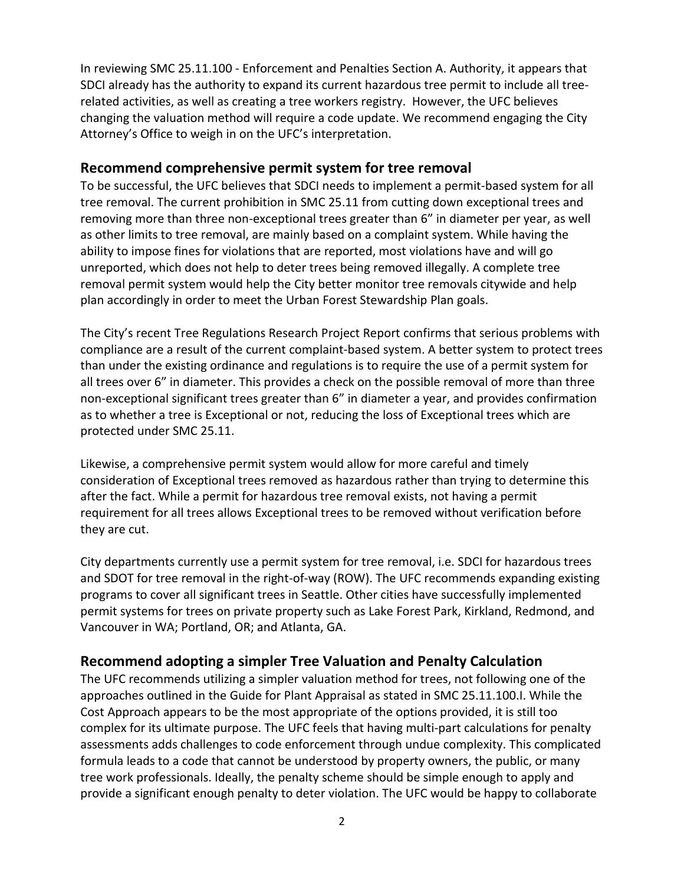In reviewing SMC 25.11.100 - Enforcement and Penalties Section A. Authority, it appears that SDCI already has the authority to expand its current hazardous tree permit to include all treerelated activities, as well as creating a tree workers registry. However, the UFC believes changing the valuation method will require a code update. We recommend engaging the City Attorney's Office to weigh in on the UFC's interpretation.

#### **Recommend comprehensive permit system for tree removal**

To be successful, the UFC believes that SDCI needs to implement a permit-based system for all tree removal. The current prohibition in SMC 25.11 from cutting down exceptional trees and removing more than three non-exceptional trees greater than 6" in diameter per year, as well as other limits to tree removal, are mainly based on a complaint system. While having the ability to impose fines for violations that are reported, most violations have and will go unreported, which does not help to deter trees being removed illegally. A complete tree removal permit system would help the City better monitor tree removals citywide and help plan accordingly in order to meet the Urban Forest Stewardship Plan goals.

The City's recent Tree Regulations Research Project Report confirms that serious problems with compliance are a result of the current complaint-based system. A better system to protect trees than under the existing ordinance and regulations is to require the use of a permit system for all trees over 6" in diameter. This provides a check on the possible removal of more than three non-exceptional significant trees greater than 6" in diameter a year, and provides confirmation as to whether a tree is Exceptional or not, reducing the loss of Exceptional trees which are protected under SMC 25.11.

Likewise, a comprehensive permit system would allow for more careful and timely consideration of Exceptional trees removed as hazardous rather than trying to determine this after the fact. While a permit for hazardous tree removal exists, not having a permit requirement for all trees allows Exceptional trees to be removed without verification before they are cut.

City departments currently use a permit system for tree removal, i.e. SDCI for hazardous trees and SDOT for tree removal in the right-of-way (ROW). The UFC recommends expanding existing programs to cover all significant trees in Seattle. Other cities have successfully implemented permit systems for trees on private property such as Lake Forest Park, Kirkland, Redmond, and Vancouver in WA; Portland, OR; and Atlanta, GA.

## **Recommend adopting a simpler Tree Valuation and Penalty Calculation**

The UFC recommends utilizing a simpler valuation method for trees, not following one of the approaches outlined in the Guide for Plant Appraisal as stated in SMC 25.11.100.I. While the Cost Approach appears to be the most appropriate of the options provided, it is still too complex for its ultimate purpose. The UFC feels that having multi-part calculations for penalty assessments adds challenges to code enforcement through undue complexity. This complicated formula leads to a code that cannot be understood by property owners, the public, or many tree work professionals. Ideally, the penalty scheme should be simple enough to apply and provide a significant enough penalty to deter violation. The UFC would be happy to collaborate